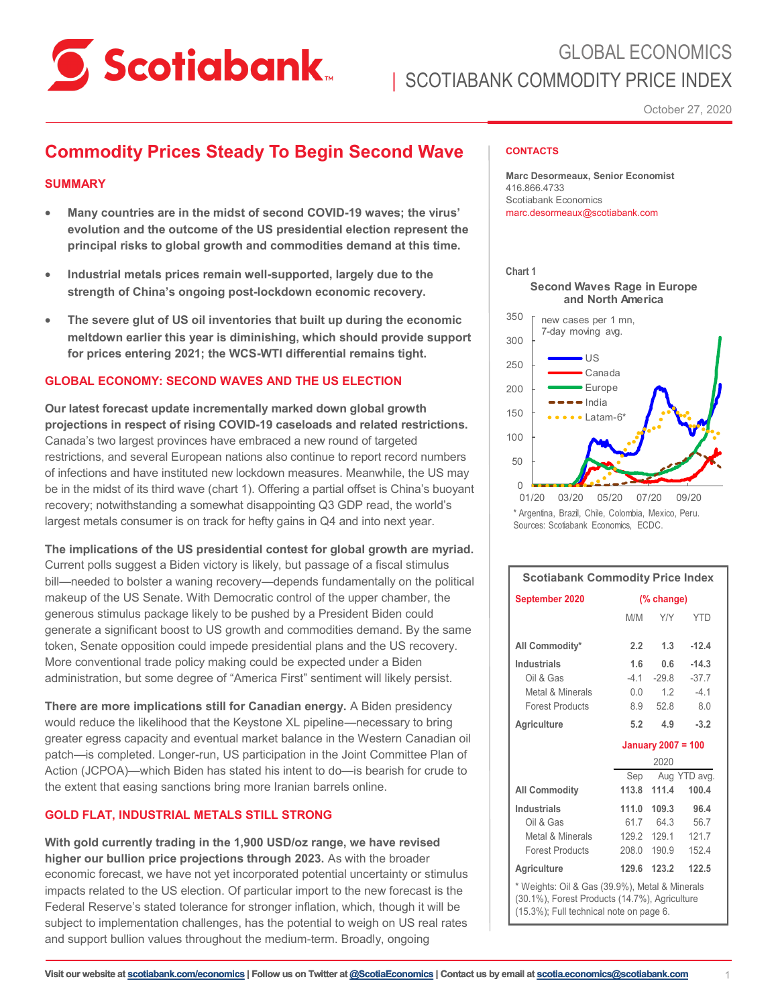

## GLOBAL ECONOMICS | SCOTIABANK COMMODITY PRICE INDEX

October 27, 2020

## **Commodity Prices Steady To Begin Second Wave**

#### **SUMMARY**

- **Many countries are in the midst of second COVID-19 waves; the virus' evolution and the outcome of the US presidential election represent the principal risks to global growth and commodities demand at this time.**
- **Industrial metals prices remain well-supported, largely due to the strength of China's ongoing post-lockdown economic recovery.**
- **The severe glut of US oil inventories that built up during the economic meltdown earlier this year is diminishing, which should provide support for prices entering 2021; the WCS-WTI differential remains tight.**

#### **GLOBAL ECONOMY: SECOND WAVES AND THE US ELECTION**

**Our latest forecast update incrementally marked down global growth projections in respect of rising COVID-19 caseloads and related restrictions.** Canada's two largest provinces have embraced a new round of targeted restrictions, and several European nations also continue to report record numbers of infections and have instituted new lockdown measures. Meanwhile, the US may be in the midst of its third wave (chart 1). Offering a partial offset is China's buoyant recovery; notwithstanding a somewhat disappointing Q3 GDP read, the world's largest metals consumer is on track for hefty gains in Q4 and into next year.

**The implications of the US presidential contest for global growth are myriad.**  Current polls suggest a Biden victory is likely, but passage of a fiscal stimulus bill—needed to bolster a waning recovery—depends fundamentally on the political makeup of the US Senate. With Democratic control of the upper chamber, the generous stimulus package likely to be pushed by a President Biden could generate a significant boost to US growth and commodities demand. By the same token, Senate opposition could impede presidential plans and the US recovery. More conventional trade policy making could be expected under a Biden administration, but some degree of "America First" sentiment will likely persist.

**There are more implications still for Canadian energy.** A Biden presidency would reduce the likelihood that the Keystone XL pipeline—necessary to bring greater egress capacity and eventual market balance in the Western Canadian oil patch—is completed. Longer-run, US participation in the Joint Committee Plan of Action (JCPOA)—which Biden has stated his intent to do—is bearish for crude to the extent that easing sanctions bring more Iranian barrels online.

#### **GOLD FLAT, INDUSTRIAL METALS STILL STRONG**

**With gold currently trading in the 1,900 USD/oz range, we have revised higher our bullion price projections through 2023.** As with the broader economic forecast, we have not yet incorporated potential uncertainty or stimulus impacts related to the US election. Of particular import to the new forecast is the Federal Reserve's stated tolerance for stronger inflation, which, though it will be subject to implementation challenges, has the potential to weigh on US real rates and support bullion values throughout the medium-term. Broadly, ongoing

#### **CONTACTS**

**Marc Desormeaux, Senior Economist** 416.866.4733 Scotiabank Economics marc.desormeaux@scotiabank.com



<sup>\*</sup> Argentina, Brazil, Chile, Colombia, Mexico, Peru. Sources: Scotiabank Economics, ECDC.

| <b>Scotiabank Commodity Price Index</b>                                                                                                    |                           |                  |            |  |
|--------------------------------------------------------------------------------------------------------------------------------------------|---------------------------|------------------|------------|--|
| September 2020                                                                                                                             | (% change)                |                  |            |  |
|                                                                                                                                            | M/M                       | <b>Y/Y</b>       | <b>YTD</b> |  |
| All Commodity*                                                                                                                             | 2.2                       | 1.3              | $-12.4$    |  |
| <b>Industrials</b>                                                                                                                         | 1.6                       | 0.6              | $-14.3$    |  |
| Oil & Gas                                                                                                                                  | $-41$                     | $-29.8$          | $-37.7$    |  |
| Metal & Minerals                                                                                                                           | 0.0                       | 1.2              | $-4.1$     |  |
| <b>Forest Products</b>                                                                                                                     | 8.9                       | 52.8             | 8.0        |  |
| Agriculture                                                                                                                                | 5.2                       | 4.9              | $-3.2$     |  |
|                                                                                                                                            | <b>January 2007 = 100</b> |                  |            |  |
|                                                                                                                                            | 2020                      |                  |            |  |
|                                                                                                                                            |                           | Sep Aug YTD avg. |            |  |
| <b>All Commodity</b>                                                                                                                       | 113.8                     | 111.4            | 100.4      |  |
| Industrials                                                                                                                                | 111.0                     | 109.3            | 96.4       |  |
| Oil & Gas                                                                                                                                  |                           | 61.7 64.3        | 56.7       |  |
| Metal & Minerals                                                                                                                           |                           | 129.2 129.1      | 121.7      |  |
| <b>Forest Products</b>                                                                                                                     | 208.0                     | 190.9            | 152.4      |  |
| Agriculture                                                                                                                                | 129.6                     | 123.2            | 122.5      |  |
| * Weights: Oil & Gas (39.9%), Metal & Minerals<br>(30.1%), Forest Products (14.7%), Agriculture<br>(15.3%); Full technical note on page 6. |                           |                  |            |  |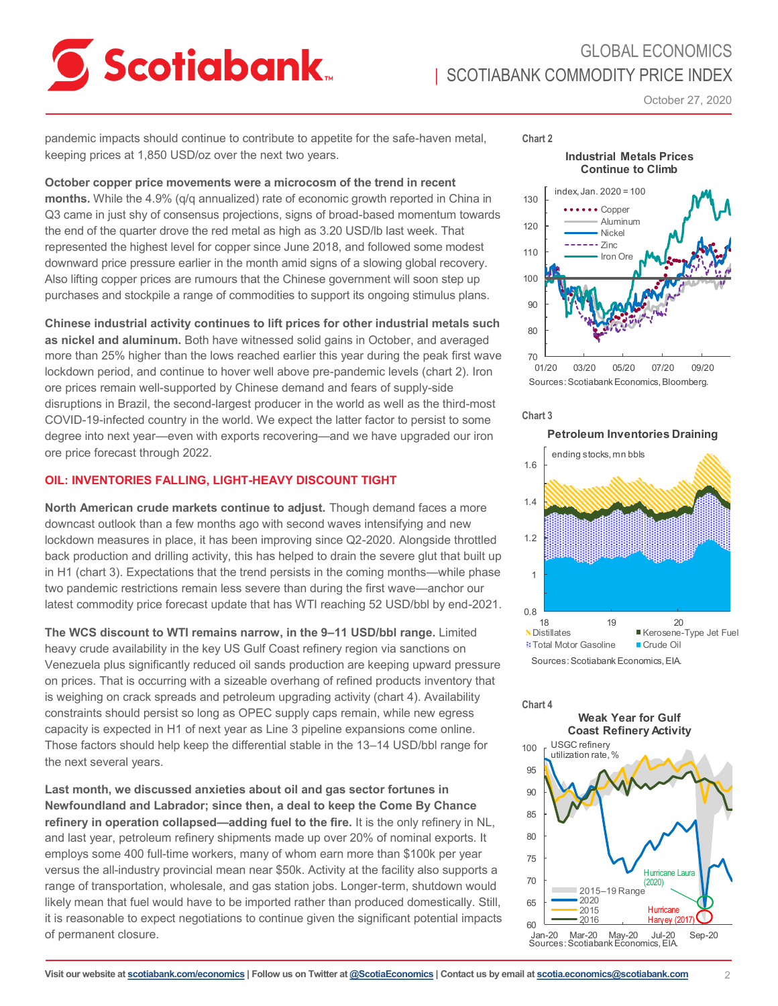# **Scotiabank**

## GLOBAL ECONOMICS **I SCOTIABANK COMMODITY PRICE INDEX**

October 27, 2020

pandemic impacts should continue to contribute to appetite for the safe-haven metal, keeping prices at 1,850 USD/oz over the next two years.

#### **October copper price movements were a microcosm of the trend in recent**

**months.** While the 4.9% (q/q annualized) rate of economic growth reported in China in Q3 came in just shy of consensus projections, signs of broad-based momentum towards the end of the quarter drove the red metal as high as 3.20 USD/lb last week. That represented the highest level for copper since June 2018, and followed some modest downward price pressure earlier in the month amid signs of a slowing global recovery. Also lifting copper prices are rumours that the Chinese government will soon step up purchases and stockpile a range of commodities to support its ongoing stimulus plans.

**Chinese industrial activity continues to lift prices for other industrial metals such as nickel and aluminum.** Both have witnessed solid gains in October, and averaged more than 25% higher than the lows reached earlier this year during the peak first wave lockdown period, and continue to hover well above pre-pandemic levels (chart 2). Iron ore prices remain well-supported by Chinese demand and fears of supply-side disruptions in Brazil, the second-largest producer in the world as well as the third-most COVID-19-infected country in the world. We expect the latter factor to persist to some degree into next year—even with exports recovering—and we have upgraded our iron ore price forecast through 2022.

#### **OIL: INVENTORIES FALLING, LIGHT-HEAVY DISCOUNT TIGHT**

**North American crude markets continue to adjust.** Though demand faces a more downcast outlook than a few months ago with second waves intensifying and new lockdown measures in place, it has been improving since Q2-2020. Alongside throttled back production and drilling activity, this has helped to drain the severe glut that built up in H1 (chart 3). Expectations that the trend persists in the coming months—while phase two pandemic restrictions remain less severe than during the first wave—anchor our latest commodity price forecast update that has WTI reaching 52 USD/bbl by end-2021.

**The WCS discount to WTI remains narrow, in the 9–11 USD/bbl range.** Limited heavy crude availability in the key US Gulf Coast refinery region via sanctions on Venezuela plus significantly reduced oil sands production are keeping upward pressure on prices. That is occurring with a sizeable overhang of refined products inventory that is weighing on crack spreads and petroleum upgrading activity (chart 4). Availability constraints should persist so long as OPEC supply caps remain, while new egress capacity is expected in H1 of next year as Line 3 pipeline expansions come online. Those factors should help keep the differential stable in the 13–14 USD/bbl range for the next several years.

**Last month, we discussed anxieties about oil and gas sector fortunes in Newfoundland and Labrador; since then, a deal to keep the Come By Chance refinery in operation collapsed—adding fuel to the fire.** It is the only refinery in NL, and last year, petroleum refinery shipments made up over 20% of nominal exports. It employs some 400 full-time workers, many of whom earn more than \$100k per year versus the all-industry provincial mean near \$50k. Activity at the facility also supports a range of transportation, wholesale, and gas station jobs. Longer-term, shutdown would likely mean that fuel would have to be imported rather than produced domestically. Still, it is reasonable to expect negotiations to continue given the significant potential impacts of permanent closure.

**Chart 2**

**Industrial Metals Prices Continue to Climb**





#### **Chart 3**

**Petroleum Inventories Draining**



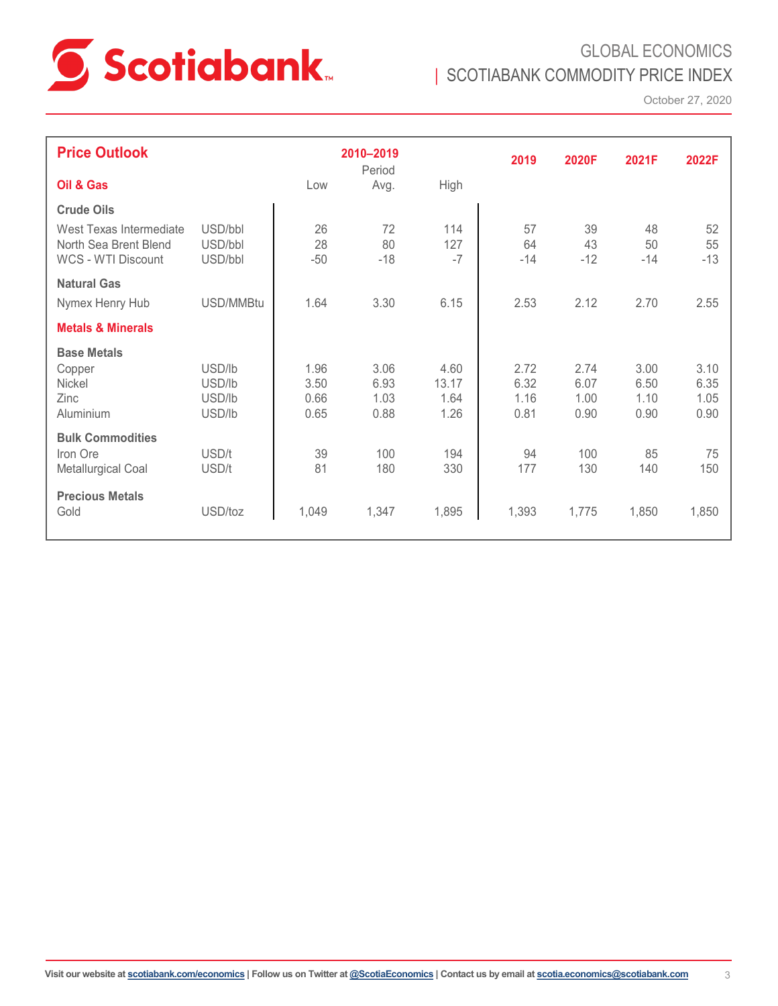

GLOBAL ECONOMICS | SCOTIABANK COMMODITY PRICE INDEX

October 27, 2020

| <b>Price Outlook</b>                             |                    |          | 2010-2019<br>Period |            | 2019     | 2020F    | 2021F    | 2022F        |
|--------------------------------------------------|--------------------|----------|---------------------|------------|----------|----------|----------|--------------|
| Oil & Gas                                        |                    | Low      | Avg.                | High       |          |          |          |              |
| <b>Crude Oils</b>                                |                    |          |                     |            |          |          |          |              |
| West Texas Intermediate<br>North Sea Brent Blend | USD/bbl<br>USD/bbl | 26<br>28 | 72<br>80            | 114<br>127 | 57<br>64 | 39<br>43 | 48<br>50 | 52<br>55     |
| WCS - WTI Discount                               | USD/bbl            | $-50$    | $-18$               | $-7$       | $-14$    | $-12$    | $-14$    | $-13$        |
| <b>Natural Gas</b>                               |                    |          |                     |            |          |          |          |              |
| Nymex Henry Hub                                  | USD/MMBtu          | 1.64     | 3.30                | 6.15       | 2.53     | 2.12     | 2.70     | 2.55         |
| <b>Metals &amp; Minerals</b>                     |                    |          |                     |            |          |          |          |              |
| <b>Base Metals</b>                               |                    |          |                     |            |          |          |          |              |
| Copper                                           | USD/lb             | 1.96     | 3.06                | 4.60       | 2.72     | 2.74     | 3.00     | 3.10         |
| Nickel                                           | USD/lb             | 3.50     | 6.93                | 13.17      | 6.32     | 6.07     | 6.50     | 6.35         |
| Zinc                                             | USD/lb<br>USD/lb   | 0.66     | 1.03                | 1.64       | 1.16     | 1.00     | 1.10     | 1.05<br>0.90 |
| Aluminium                                        |                    | 0.65     | 0.88                | 1.26       | 0.81     | 0.90     | 0.90     |              |
| <b>Bulk Commodities</b>                          |                    |          |                     |            |          |          |          |              |
| Iron Ore                                         | USD/t              | 39       | 100                 | 194        | 94       | 100      | 85       | 75           |
| Metallurgical Coal                               | USD/t              | 81       | 180                 | 330        | 177      | 130      | 140      | 150          |
| <b>Precious Metals</b>                           |                    |          |                     |            |          |          |          |              |
| Gold                                             | USD/toz            | 1,049    | 1,347               | 1,895      | 1,393    | 1,775    | 1,850    | 1,850        |
|                                                  |                    |          |                     |            |          |          |          |              |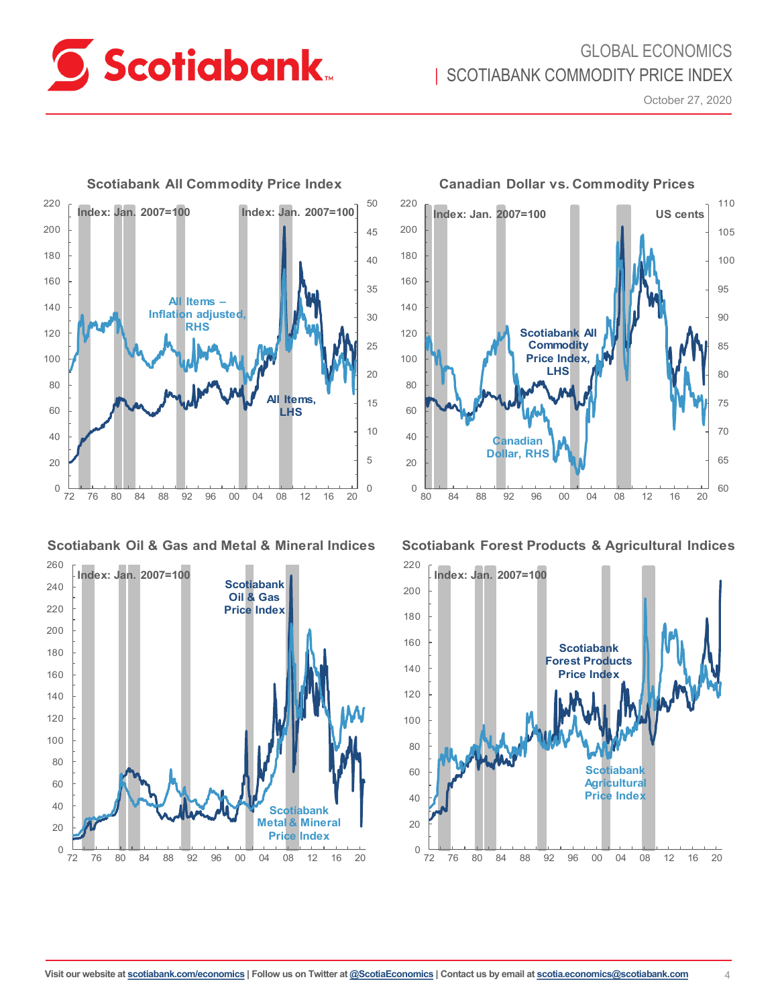

## GLOBAL ECONOMICS **I SCOTIABANK COMMODITY PRICE INDEX**

October 27, 2020



**Scotiabank Oil & Gas and Metal & Mineral Indices**





**Canadian Dollar vs. Commodity Prices**

**Scotiabank Forest Products & Agricultural Indices**

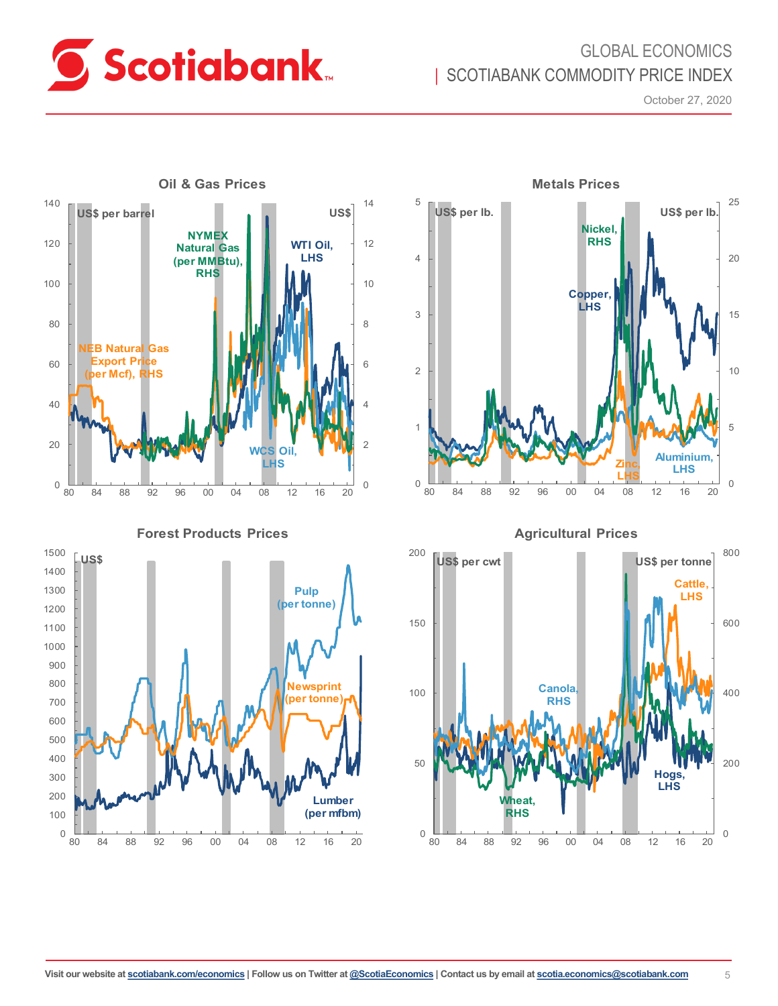

## GLOBAL ECONOMICS | SCOTIABANK COMMODITY PRICE INDEX

October 27, 2020



**Forest Products Prices**





**Agricultural Prices**

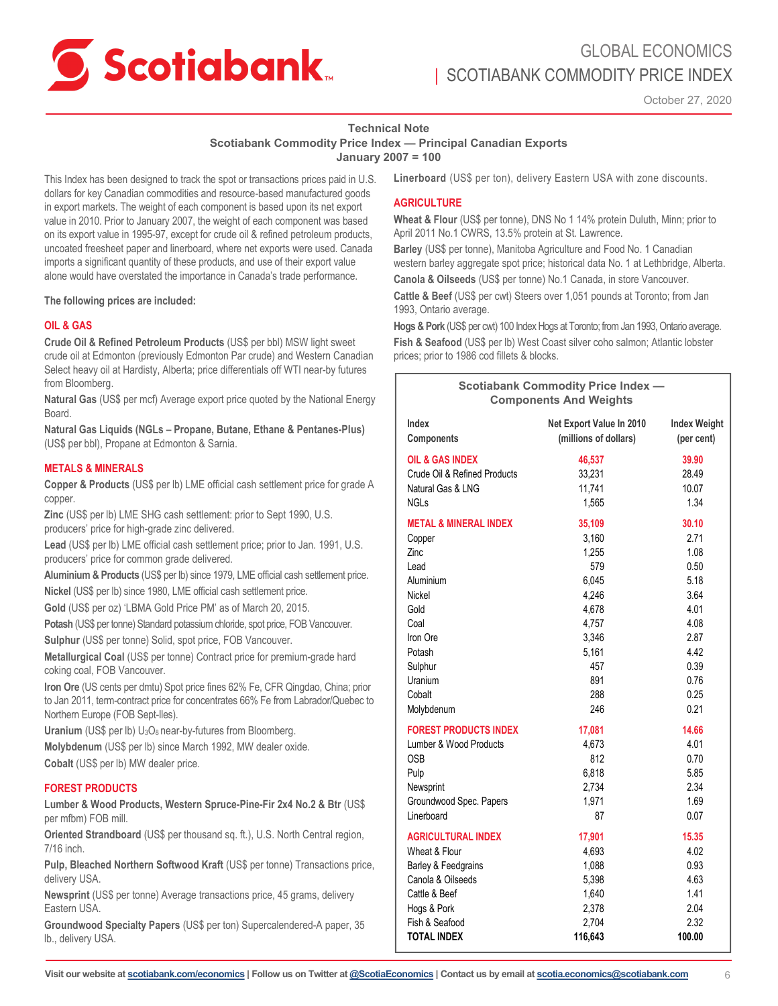

## GLOBAL ECONOMICS SCOTIABANK COMMODITY PRICE INDEX

October 27, 2020

#### **Technical Note**

**Scotiabank Commodity Price Index — Principal Canadian Exports**

**January 2007 = 100**

This Index has been designed to track the spot or transactions prices paid in U.S. dollars for key Canadian commodities and resource-based manufactured goods in export markets. The weight of each component is based upon its net export value in 2010. Prior to January 2007, the weight of each component was based on its export value in 1995-97, except for crude oil & refined petroleum products, uncoated freesheet paper and linerboard, where net exports were used. Canada imports a significant quantity of these products, and use of their export value alone would have overstated the importance in Canada's trade performance.

**The following prices are included:** 

#### **OIL & GAS**

**Crude Oil & Refined Petroleum Products** (US\$ per bbl) MSW light sweet crude oil at Edmonton (previously Edmonton Par crude) and Western Canadian Select heavy oil at Hardisty, Alberta; price differentials off WTI near-by futures from Bloomberg.

**Natural Gas** (US\$ per mcf) Average export price quoted by the National Energy Board.

**Natural Gas Liquids (NGLs – Propane, Butane, Ethane & Pentanes-Plus)** (US\$ per bbl), Propane at Edmonton & Sarnia.

#### **METALS & MINERALS**

**Copper & Products** (US\$ per lb) LME official cash settlement price for grade A copper.

**Zinc** (US\$ per lb) LME SHG cash settlement: prior to Sept 1990, U.S. producers' price for high-grade zinc delivered.

**Lead** (US\$ per lb) LME official cash settlement price; prior to Jan. 1991, U.S. producers' price for common grade delivered.

**Aluminium & Products** (US\$ per lb) since 1979, LME official cash settlement price. **Nickel** (US\$ per lb) since 1980, LME official cash settlement price.

**Gold** (US\$ per oz) 'LBMA Gold Price PM' as of March 20, 2015.

**Potash** (US\$ per tonne) Standard potassium chloride, spot price, FOB Vancouver. **Sulphur** (US\$ per tonne) Solid, spot price, FOB Vancouver.

**Metallurgical Coal** (US\$ per tonne) Contract price for premium-grade hard coking coal, FOB Vancouver.

**Iron Ore** (US cents per dmtu) Spot price fines 62% Fe, CFR Qingdao, China; prior to Jan 2011, term-contract price for concentrates 66% Fe from Labrador/Quebec to Northern Europe (FOB Sept-Iles).

**Uranium** (US\$ per lb) U<sub>3</sub>O<sub>8</sub> near-by-futures from Bloomberg.

**Molybdenum** (US\$ per lb) since March 1992, MW dealer oxide.

**Cobalt** (US\$ per lb) MW dealer price.

#### **FOREST PRODUCTS**

**Lumber & Wood Products, Western Spruce-Pine-Fir 2x4 No.2 & Btr** (US\$ per mfbm) FOB mill.

**Oriented Strandboard** (US\$ per thousand sq. ft.), U.S. North Central region, 7/16 inch.

**Pulp, Bleached Northern Softwood Kraft** (US\$ per tonne) Transactions price, delivery USA.

**Newsprint** (US\$ per tonne) Average transactions price, 45 grams, delivery Eastern USA.

**Groundwood Specialty Papers** (US\$ per ton) Supercalendered-A paper, 35 lb., delivery USA.

**Linerboard** (US\$ per ton), delivery Eastern USA with zone discounts.

#### **AGRICULTURE**

**Wheat & Flour** (US\$ per tonne), DNS No 1 14% protein Duluth, Minn; prior to April 2011 No.1 CWRS, 13.5% protein at St. Lawrence.

**Barley** (US\$ per tonne), Manitoba Agriculture and Food No. 1 Canadian western barley aggregate spot price; historical data No. 1 at Lethbridge, Alberta.

**Canola & Oilseeds** (US\$ per tonne) No.1 Canada, in store Vancouver.

**Cattle & Beef** (US\$ per cwt) Steers over 1,051 pounds at Toronto; from Jan 1993, Ontario average.

**Hogs & Pork** (US\$ per cwt) 100 Index Hogs at Toronto; from Jan 1993, Ontario average.

**Fish & Seafood** (US\$ per lb) West Coast silver coho salmon; Atlantic lobster prices; prior to 1986 cod fillets & blocks.

| <b>Scotiabank Commodity Price Index -</b><br><b>Components And Weights</b> |                          |                     |  |  |  |
|----------------------------------------------------------------------------|--------------------------|---------------------|--|--|--|
| Index                                                                      | Net Export Value In 2010 | <b>Index Weight</b> |  |  |  |
| <b>Components</b>                                                          | (millions of dollars)    | (per cent)          |  |  |  |
| OIL & GAS INDEX                                                            | 46,537                   | 39.90               |  |  |  |
| Crude Oil & Refined Products                                               | 33,231                   | 28.49               |  |  |  |
| Natural Gas & LNG                                                          | 11,741                   | 10.07               |  |  |  |
| NGLs                                                                       | 1,565                    | 1.34                |  |  |  |
| <b>METAL &amp; MINERAL INDEX</b>                                           | 35,109                   | 30.10               |  |  |  |
| Copper                                                                     | 3,160                    | 2.71                |  |  |  |
| Zinc                                                                       | 1,255                    | 1.08                |  |  |  |
| Lead                                                                       | 579                      | 0.50                |  |  |  |
| Aluminium                                                                  | 6,045                    | 5.18                |  |  |  |
| Nickel                                                                     | 4,246                    | 3.64                |  |  |  |
| Gold                                                                       | 4,678                    | 4.01                |  |  |  |
| Coal                                                                       | 4,757                    | 4.08                |  |  |  |
| Iron Ore                                                                   | 3,346                    | 2.87                |  |  |  |
| Potash                                                                     | 5,161                    | 4.42                |  |  |  |
| Sulphur                                                                    | 457                      | 0.39                |  |  |  |
| Uranium                                                                    | 891                      | 0.76                |  |  |  |
| Cobalt                                                                     | 288                      | 0.25                |  |  |  |
| Molybdenum                                                                 | 246                      | 0.21                |  |  |  |
| <b>FOREST PRODUCTS INDEX</b>                                               | 17,081                   | 14.66               |  |  |  |
| Lumber & Wood Products                                                     | 4,673                    | 4.01                |  |  |  |
| <b>OSB</b>                                                                 | 812                      | 0.70                |  |  |  |
| Pulp                                                                       | 6,818                    | 5.85                |  |  |  |
| Newsprint                                                                  | 2,734                    | 2.34                |  |  |  |
| Groundwood Spec. Papers                                                    | 1,971                    | 1.69                |  |  |  |
| Linerboard                                                                 | 87                       | 0.07                |  |  |  |
| <b>AGRICULTURAL INDEX</b>                                                  | 17,901                   | 15.35               |  |  |  |
| Wheat & Flour                                                              | 4,693                    | 4.02                |  |  |  |
| Barley & Feedgrains                                                        | 1,088                    | 0.93                |  |  |  |
| Canola & Oilseeds                                                          | 5,398                    | 4.63                |  |  |  |
| Cattle & Beef                                                              | 1,640                    | 1.41                |  |  |  |
| Hogs & Pork                                                                | 2,378                    | 2.04                |  |  |  |
| Fish & Seafood                                                             | 2,704                    | 2.32                |  |  |  |
| <b>TOTAL INDEX</b>                                                         | 116,643                  | 100.00              |  |  |  |